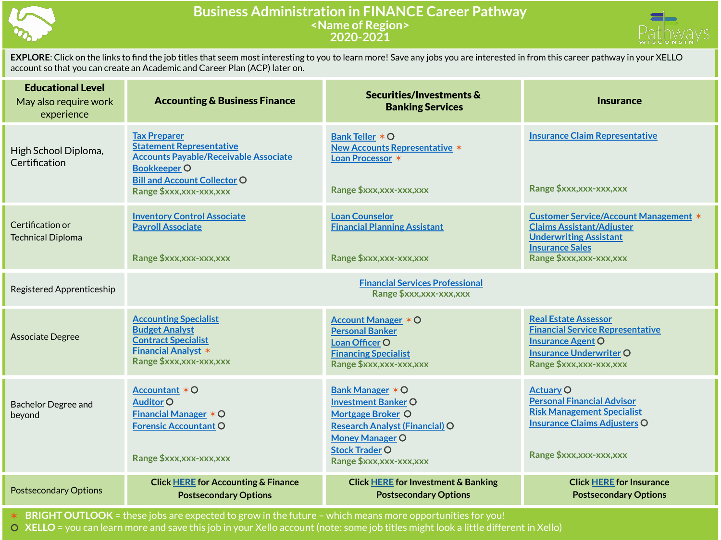

## **Business Administration in FINANCE Career Pathway <Name of Region> 2020-2021**



| <b>Educational Level</b><br>May also require work<br>experience | <b>Accounting &amp; Business Finance</b>                                                                                                                             | Securities/Investments &<br><b>Banking Services</b>                                                                                                                    | <b>Insurance</b>                                                                                                                                                  |  |
|-----------------------------------------------------------------|----------------------------------------------------------------------------------------------------------------------------------------------------------------------|------------------------------------------------------------------------------------------------------------------------------------------------------------------------|-------------------------------------------------------------------------------------------------------------------------------------------------------------------|--|
| High School Diploma,<br>Certification                           | <b>Tax Preparer</b><br><b>Statement Representative</b><br><b>Accounts Payable/Receivable Associate</b><br><b>Bookkeeper O</b><br><b>Bill and Account Collector O</b> | Bank Teller * O<br><b>New Accounts Representative *</b><br>Loan Processor *                                                                                            | <b>Insurance Claim Representative</b>                                                                                                                             |  |
|                                                                 | Range \$xxx, xxx-xxx, xxx                                                                                                                                            | Range \$xxx, xxx-xxx, xxx                                                                                                                                              | Range \$xxx,xxx-xxx,xxx                                                                                                                                           |  |
| Certification or<br><b>Technical Diploma</b>                    | <b>Inventory Control Associate</b><br><b>Payroll Associate</b>                                                                                                       | <b>Loan Counselor</b><br><b>Financial Planning Assistant</b>                                                                                                           | <b>Customer Service/Account Management *</b><br><b>Claims Assistant/Adjuster</b><br><b>Underwriting Assistant</b>                                                 |  |
|                                                                 | Range \$xxx,xxx-xxx,xxx                                                                                                                                              | Range \$xxx,xxx-xxx,xxx                                                                                                                                                | <b>Insurance Sales</b><br>Range \$xxx,xxx-xxx,xxx                                                                                                                 |  |
| Registered Apprenticeship                                       | <b>Financial Services Professional</b><br>Range \$xxx,xxx-xxx,xxx                                                                                                    |                                                                                                                                                                        |                                                                                                                                                                   |  |
| <b>Associate Degree</b>                                         | <b>Accounting Specialist</b><br><b>Budget Analyst</b><br><b>Contract Specialist</b><br><b>Financial Analyst *</b><br>Range \$xxx,xxx-xxx,xxx                         | <b>Account Manager * O</b><br><b>Personal Banker</b><br>Loan Officer O<br><b>Financing Specialist</b><br>Range \$xxx,xxx-xxx,xxx                                       | <b>Real Estate Assessor</b><br><b>Financial Service Representative</b><br><b>Insurance Agent O</b><br><b>Insurance Underwriter O</b><br>Range \$xxx, xxx-xxx, xxx |  |
| <b>Bachelor Degree and</b><br>beyond                            | Accountant * O<br><b>Auditor O</b><br><b>Financial Manager <math>*</math> O</b><br><b>Forensic Accountant O</b><br>Range \$xxx,xxx-xxx,xxx                           | Bank Manager * O<br><b>Investment Banker O</b><br><b>Mortgage Broker O</b><br><b>Research Analyst (Financial) O</b><br><b>Money Manager O</b><br><b>Stock Trader O</b> | <b>Actuary O</b><br><b>Personal Financial Advisor</b><br><b>Risk Management Specialist</b><br><b>Insurance Claims Adjusters O</b><br>Range \$xxx,xxx-xxx,xxx      |  |
|                                                                 |                                                                                                                                                                      | Range \$xxx,xxx-xxx,xxx                                                                                                                                                |                                                                                                                                                                   |  |
| <b>Postsecondary Options</b>                                    | <b>Click HERE for Accounting &amp; Finance</b><br><b>Postsecondary Options</b>                                                                                       | <b>Click HERE for Investment &amp; Banking</b><br><b>Postsecondary Options</b>                                                                                         | <b>Click HERE for Insurance</b><br><b>Postsecondary Options</b>                                                                                                   |  |

✶ **BRIGHT OUTLOOK** = these jobs are expected to grow in the future – which means more opportunities for you!

⚪ **XELLO** = you can learn more and save this job in your Xello account (note: some job titles might look a little different in Xello)